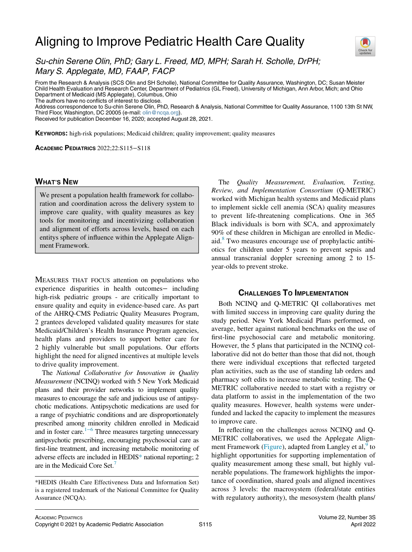# Aligning to Improve Pediatric Health Care Quality



Su-chin Serene Olin, PhD; Gary L. Freed, MD, MPH; Sarah H. Scholle, DrPH; Mary S. Applegate, MD, FAAP, FACP

From the Research & Analysis (SCS Olin and SH Scholle), National Committee for Quality Assurance, Washington, DC; Susan Meister Child Health Evaluation and Research Center, Department of Pediatrics (GL Freed), University of Michigan, Ann Arbor, Mich; and Ohio Department of Medicaid (MS Applegate), Columbus, Ohio

The authors have no conflicts of interest to disclose.

Address correspondence to Su-chin Serene Olin, PhD, Research & Analysis, National Committee for Quality Assurance, 1100 13th St NW, Third Floor, Washington, DC 20005 (e-mail: [olin@ncqa.org\)](mailto:olin@ncqa.org).

Received for publication December 16, 2020; accepted August 28, 2021.

KEYWORDS: high-risk populations; Medicaid children; quality improvement; quality measures

ACADEMIC PEDIATRICS 2022;22:S115−S118

## **WHAT'S NEW** WHAT'S NEW YORK

We present a population health framework for collaboration and coordination across the delivery system to improve care quality, with quality measures as key tools for monitoring and incentivizing collaboration and alignment of efforts across levels, based on each entitys sphere of influence within the Applegate Alignment Framework.

MEASURES THAT FOCUS attention on populations who experience disparities in health outcomes− including high-risk pediatric groups - are critically important to ensure quality and equity in evidence-based care. As part of the AHRQ-CMS Pediatric Quality Measures Program, 2 grantees developed validated quality measures for state Medicaid/Children's Health Insurance Program agencies, health plans and providers to support better care for 2 highly vulnerable but small populations. Our efforts highlight the need for aligned incentives at multiple levels to drive quality improvement.

The National Collaborative for Innovation in Quality Measurement (NCINQ) worked with 5 New York Medicaid plans and their provider networks to implement quality measures to encourage the safe and judicious use of antipsychotic medications. Antipsychotic medications are used for a range of psychiatric conditions and are disproportionately prescribed among minority children enrolled in Medicaid and in foster care. $1^{-6}$  Three measures targeting unnecessary antipsychotic prescribing, encouraging psychosocial care as first-line treatment, and increasing metabolic monitoring of adverse effects are included in HEDI[S\\*](#page-0-0) national reporting; 2 are in the Medicaid Core Set.<sup>[7](#page-3-1)</sup>

The Quality Measurement, Evaluation, Testing, Review, and Implementation Consortium (Q-METRIC) worked with Michigan health systems and Medicaid plans to implement sickle cell anemia (SCA) quality measures to prevent life-threatening complications. One in 365 Black individuals is born with SCA, and approximately 90% of these children in Michigan are enrolled in Medic-aid.<sup>[8](#page-3-2)</sup> Two measures encourage use of prophylactic antibiotics for children under 5 years to prevent sepsis and annual transcranial doppler screening among 2 to 15 year-olds to prevent stroke.

# **CHALLENGES TO IMPLEMENTATION**

Both NCINQ and Q-METRIC QI collaboratives met with limited success in improving care quality during the study period. New York Medicaid Plans performed, on average, better against national benchmarks on the use of first-line psychosocial care and metabolic monitoring. However, the 5 plans that participated in the NCINQ collaborative did not do better than those that did not, though there were individual exceptions that reflected targeted plan activities, such as the use of standing lab orders and pharmacy soft edits to increase metabolic testing. The Q-METRIC collaborative needed to start with a registry or data platform to assist in the implementation of the two quality measures. However, health systems were underfunded and lacked the capacity to implement the measures to improve care.

In reflecting on the challenges across NCINQ and Q-METRIC collaboratives, we used the Applegate Align-ment Framework ([Figure\)](#page-1-0), adapted from Langley et al,<sup>[9](#page-3-3)</sup> to highlight opportunities for supporting implementation of quality measurement among these small, but highly vulnerable populations. The framework highlights the importance of coordination, shared goals and aligned incentives across 3 levels: the macrosystem (federal/state entities with regulatory authority), the mesosystem (health plans/

<span id="page-0-0"></span><sup>\*</sup>HEDIS (Health Care Effectiveness Data and Information Set) is a registered trademark of the National Committee for Quality Assurance (NCQA).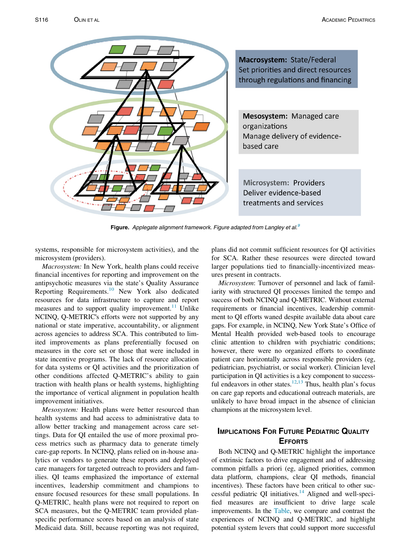<span id="page-1-0"></span>

Figure. Applegate alignment framework. Figure adapted from Langley et al.<sup>[9](#page-3-3)</sup>

systems, responsible for microsystem activities), and the microsystem (providers).

Macrosystem: In New York, health plans could receive financial incentives for reporting and improvement on the antipsychotic measures via the state's Quality Assurance Reporting Requirements.[10](#page-3-4) New York also dedicated resources for data infrastructure to capture and report measures and to support quality improvement.<sup>[11](#page-3-5)</sup> Unlike NCINQ, Q-METRIC's efforts were not supported by any national or state imperative, accountability, or alignment across agencies to address SCA. This contributed to limited improvements as plans preferentially focused on measures in the core set or those that were included in state incentive programs. The lack of resource allocation for data systems or QI activities and the prioritization of other conditions affected Q-METRIC's ability to gain traction with health plans or health systems, highlighting the importance of vertical alignment in population health improvement initiatives.

Mesosystem: Health plans were better resourced than health systems and had access to administrative data to allow better tracking and management across care settings. Data for QI entailed the use of more proximal process metrics such as pharmacy data to generate timely care-gap reports. In NCINQ, plans relied on in-house analytics or vendors to generate these reports and deployed care managers for targeted outreach to providers and families. QI teams emphasized the importance of external incentives, leadership commitment and champions to ensure focused resources for these small populations. In Q-METRIC, health plans were not required to report on SCA measures, but the Q-METRIC team provided planspecific performance scores based on an analysis of state Medicaid data. Still, because reporting was not required,

plans did not commit sufficient resources for QI activities for SCA. Rather these resources were directed toward larger populations tied to financially-incentivized measures present in contracts.

Microsystem: Turnover of personnel and lack of familiarity with structured QI processes limited the tempo and success of both NCINQ and Q-METRIC. Without external requirements or financial incentives, leadership commitment to QI efforts waned despite available data about care gaps. For example, in NCINQ, New York State's Office of Mental Health provided web-based tools to encourage clinic attention to children with psychiatric conditions; however, there were no organized efforts to coordinate patient care horizontally across responsible providers (eg, pediatrician, psychiatrist, or social worker). Clinician level participation in QI activities is a key component to success-ful endeavors in other states.<sup>12[,13](#page-3-7)</sup> Thus, health plan's focus on care gap reports and educational outreach materials, are unlikely to have broad impact in the absence of clinician champions at the microsystem level.

# **IMPLICATIONS FOR FUTURE PEDIATRIC QUALITY EFFORTS**

Both NCINQ and Q-METRIC highlight the importance of extrinsic factors to drive engagement and of addressing common pitfalls a priori (eg, aligned priorities, common data platform, champions, clear QI methods, financial incentives). These factors have been critical to other suc-cessful pediatric QI initiatives.<sup>[14](#page-3-8)</sup> Aligned and well-specified measures are insufficient to drive large scale improvements. In the [Table](#page-2-0), we compare and contrast the experiences of NCINQ and Q-METRIC, and highlight potential system levers that could support more successful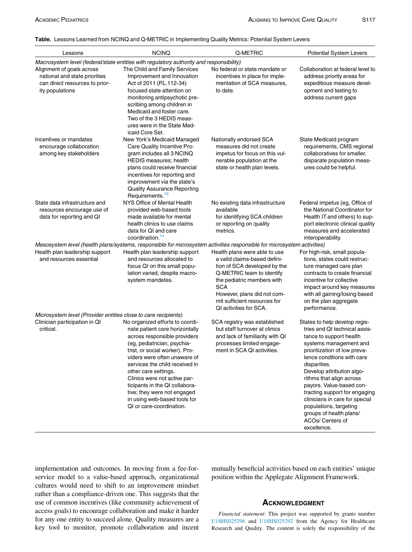### <span id="page-2-0"></span>Table. Lessons Learned from NCINQ and Q-METRIC in Implementing Quality Metrics: Potential System Levers

| Lessons                                                                                                         | <b>NCINQ</b>                                                                                                                                                                                                                                                                                                                                                                                                              | Q-METRIC                                                                                                                                                                                                                                                        | <b>Potential System Levers</b>                                                                                                                                                                                                                                                                                                                                                                                                                    |
|-----------------------------------------------------------------------------------------------------------------|---------------------------------------------------------------------------------------------------------------------------------------------------------------------------------------------------------------------------------------------------------------------------------------------------------------------------------------------------------------------------------------------------------------------------|-----------------------------------------------------------------------------------------------------------------------------------------------------------------------------------------------------------------------------------------------------------------|---------------------------------------------------------------------------------------------------------------------------------------------------------------------------------------------------------------------------------------------------------------------------------------------------------------------------------------------------------------------------------------------------------------------------------------------------|
|                                                                                                                 | Macrosystem level (federal/state entities with regulatory authority and responsibility)                                                                                                                                                                                                                                                                                                                                   |                                                                                                                                                                                                                                                                 |                                                                                                                                                                                                                                                                                                                                                                                                                                                   |
| Alignment of goals across<br>national and state priorities<br>can direct resources to prior-<br>ity populations | The Child and Family Services<br>Improvement and Innovation<br>Act of 2011 (P.L.112-34)<br>focused state attention on<br>monitoring antipsychotic pre-<br>scribing among children in<br>Medicaid and foster care.<br>Two of the 3 HEDIS meas-<br>ures were in the State Med-<br>icaid Core Set.                                                                                                                           | No federal or state mandate or<br>incentives in place for imple-<br>mentation of SCA measures,<br>to date.                                                                                                                                                      | Collaboration at federal level to<br>address priority areas for<br>expeditious measure devel-<br>opment and testing to<br>address current gaps                                                                                                                                                                                                                                                                                                    |
| Incentives or mandates<br>encourage collaboration<br>among key stakeholders                                     | New York's Medicaid Managed<br>Care Quality Incentive Pro-<br>gram includes all 3 NCINQ<br><b>HEDIS</b> measures; health<br>plans could receive financial<br>incentives for reporting and<br>improvement via the state's<br><b>Quality Assurance Reporting</b><br>Requirements. <sup>10</sup>                                                                                                                             | Nationally endorsed SCA<br>measures did not create<br>impetus for focus on this vul-<br>nerable population at the<br>state or health plan levels.                                                                                                               | State Medicaid program<br>requirements, CMS regional<br>collaboratives for smaller,<br>disparate population meas-<br>ures could be helpful.                                                                                                                                                                                                                                                                                                       |
| State data infrastructure and<br>resources encourage use of<br>data for reporting and QI                        | NYS Office of Mental Health<br>provided web-based tools<br>made available for mental<br>health clinics to use claims<br>data for QI and care<br>coordination. <sup>11</sup>                                                                                                                                                                                                                                               | No existing data infrastructure<br>available<br>for identifying SCA children<br>or reporting on quality<br>metrics.                                                                                                                                             | Federal impetus (eg, Office of<br>the National Coordinator for<br>Health IT and others) to sup-<br>port electronic clinical quality<br>measures and accelerated<br>interoperability.                                                                                                                                                                                                                                                              |
| Health plan leadership support<br>and resources essential                                                       | Mesosystem level (health plans/systems, responsible for microsystem activities responsible for microsystem activities)<br>Health plan leadership support<br>and resources allocated to<br>focus QI on this small popu-<br>lation varied, despite macro-<br>system mandates.                                                                                                                                               | Health plans were able to use<br>a valid claims-based defini-<br>tion of SCA developed by the<br>Q-METRIC team to identify<br>the pediatric members with<br><b>SCA</b><br>However, plans did not com-<br>mit sufficient resources for<br>QI activities for SCA. | For high-risk, small popula-<br>tions, states could restruc-<br>ture managed care plan<br>contracts to create financial<br>incentive for collective<br>impact around key measures<br>with all gaining/losing based<br>on the plan aggregate<br>performance.                                                                                                                                                                                       |
| Microsystem level (Provider entities close to care recipients)<br>Clinician participation in QI<br>critical.    | No organized efforts to coordi-<br>nate patient care horizontally<br>across responsible providers<br>(eg, pediatrician, psychia-<br>trist, or social worker). Pro-<br>viders were often unaware of<br>services the child received in<br>other care settings.<br>Clinics were not active par-<br>ticipants in the QI collabora-<br>tive; they were not engaged<br>in using web-based tools for<br>OI or care-coordination. | SCA registry was established<br>but staff turnover at clinics<br>and lack of familiarity with QI<br>processes limited engage-<br>ment in SCA QI activities.                                                                                                     | States to help develop regis-<br>tries and QI technical assis-<br>tance to support health<br>systems management and<br>prioritization of low preva-<br>lence conditions with care<br>disparities.<br>Develop attribution algo-<br>rithms that align across<br>payors. Value-based con-<br>tracting support for engaging<br>clinicians in care for special<br>populations, targeting<br>groups of health plans/<br>ACOs/ Centers of<br>excellence. |

<span id="page-2-1"></span>implementation and outcomes. In moving from a fee-forservice model to a value-based approach, organizational cultures would need to shift to an improvement mindset rather than a compliance-driven one. This suggests that the use of common incentives (like community achievement of access goals) to encourage collaboration and make it harder for any one entity to succeed alone. Quality measures are a key tool to monitor, promote collaboration and incent

mutually beneficial activities based on each entities' unique position within the Applegate Alignment Framework.

Financial statement: This project was supported by grants number [U18HS025296](#page-2-1) and [U18HS025292](#page-2-1) from the Agency for Healthcare Research and Quality. The content is solely the responsibility of the